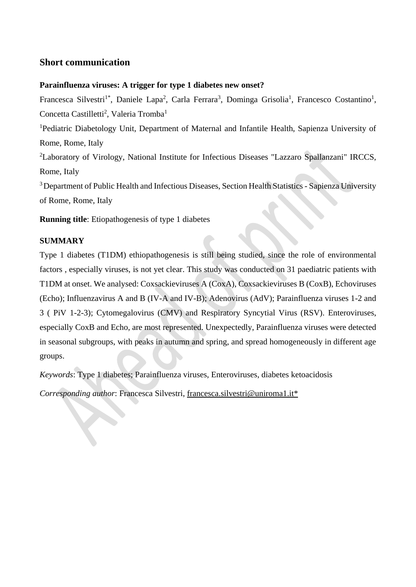## **Short communication**

#### **Parainfluenza viruses: A trigger for type 1 diabetes new onset?**

Francesca Silvestri<sup>1\*</sup>, Daniele Lapa<sup>2</sup>, Carla Ferrara<sup>3</sup>, Dominga Grisolia<sup>1</sup>, Francesco Costantino<sup>1</sup>, Concetta Castilletti<sup>2</sup>, Valeria Tromba<sup>1</sup>

<sup>1</sup>Pediatric Diabetology Unit, Department of Maternal and Infantile Health, Sapienza University of Rome, Rome, Italy

<sup>2</sup>Laboratory of Virology, National Institute for Infectious Diseases "Lazzaro Spallanzani" IRCCS, Rome, Italy

<sup>3</sup> Department of Public Health and Infectious Diseases, Section Health Statistics - Sapienza University of Rome, Rome, Italy

**Running title**: Etiopathogenesis of type 1 diabetes

### **SUMMARY**

Type 1 diabetes (T1DM) ethiopathogenesis is still being studied, since the role of environmental factors , especially viruses, is not yet clear. This study was conducted on 31 paediatric patients with T1DM at onset. We analysed: Coxsackieviruses A (CoxA), Coxsackieviruses B (CoxB), Echoviruses (Echo); Influenzavirus A and B (IV-A and IV-B); Adenovirus (AdV); Parainfluenza viruses 1-2 and 3 ( PiV 1-2-3); Cytomegalovirus (CMV) and Respiratory Syncytial Virus (RSV). Enteroviruses, especially CoxB and Echo, are most represented. Unexpectedly, Parainfluenza viruses were detected in seasonal subgroups, with peaks in autumn and spring, and spread homogeneously in different age groups.

*Keywords*: Type 1 diabetes; Parainfluenza viruses, Enteroviruses, diabetes ketoacidosis

*Corresponding author*: Francesca Silvestri, [francesca.silvestri@uniroma1.it\\*](mailto:francesca.silvestri@uniroma1.it*)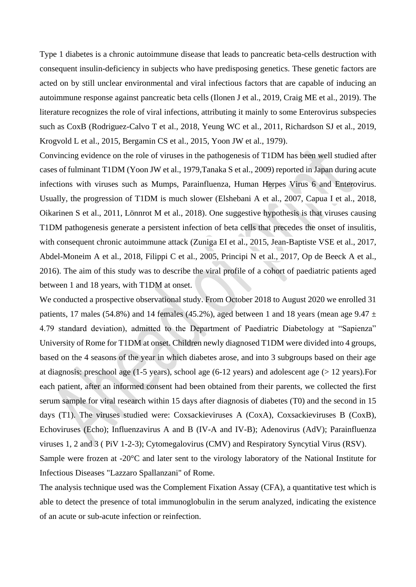Type 1 diabetes is a chronic autoimmune disease that leads to pancreatic beta-cells destruction with consequent insulin-deficiency in subjects who have predisposing genetics. These genetic factors are acted on by still unclear environmental and viral infectious factors that are capable of inducing an autoimmune response against pancreatic beta cells (Ilonen J et al., 2019, Craig ME et al., 2019). The literature recognizes the role of viral infections, attributing it mainly to some Enterovirus subspecies such as CoxB (Rodriguez-Calvo T et al., 2018, Yeung WC et al., 2011, Richardson SJ et al., 2019, Krogvold L et al., 2015, Bergamin CS et al., 2015, Yoon JW et al., 1979).

Convincing evidence on the role of viruses in the pathogenesis of T1DM has been well studied after cases of fulminant T1DM (Yoon JW et al., 1979,Tanaka S et al., 2009) reported in Japan during acute infections with viruses such as Mumps, Parainfluenza, Human Herpes Virus 6 and Enterovirus. Usually, the progression of T1DM is much slower (Elshebani A et al., 2007, Capua I et al., 2018, Oikarinen S et al., 2011, Lönnrot M et al., 2018). One suggestive hypothesis is that viruses causing T1DM pathogenesis generate a persistent infection of beta cells that precedes the onset of insulitis, with consequent chronic autoimmune attack (Zuniga EI et al., 2015, Jean-Baptiste VSE et al., 2017, Abdel-Moneim A et al., 2018, Filippi C et al., 2005, Principi N et al., 2017, Op de Beeck A et al., 2016). The aim of this study was to describe the viral profile of a cohort of paediatric patients aged between 1 and 18 years, with T1DM at onset.

We conducted a prospective observational study. From October 2018 to August 2020 we enrolled 31 patients, 17 males (54.8%) and 14 females (45.2%), aged between 1 and 18 years (mean age 9.47  $\pm$ 4.79 standard deviation), admitted to the Department of Paediatric Diabetology at "Sapienza" University of Rome for T1DM at onset. Children newly diagnosed T1DM were divided into 4 groups, based on the 4 seasons of the year in which diabetes arose, and into 3 subgroups based on their age at diagnosis: preschool age (1-5 years), school age (6-12 years) and adolescent age (> 12 years).For each patient, after an informed consent had been obtained from their parents, we collected the first serum sample for viral research within 15 days after diagnosis of diabetes (T0) and the second in 15 days (T1). The viruses studied were: Coxsackieviruses A (CoxA), Coxsackieviruses B (CoxB), Echoviruses (Echo); Influenzavirus A and B (IV-A and IV-B); Adenovirus (AdV); Parainfluenza viruses 1, 2 and 3 ( PiV 1-2-3); Cytomegalovirus (CMV) and Respiratory Syncytial Virus (RSV).

Sample were frozen at -20°C and later sent to the virology laboratory of the National Institute for Infectious Diseases "Lazzaro Spallanzani" of Rome.

The analysis technique used was the Complement Fixation Assay (CFA), a quantitative test which is able to detect the presence of total immunoglobulin in the serum analyzed, indicating the existence of an acute or sub-acute infection or reinfection.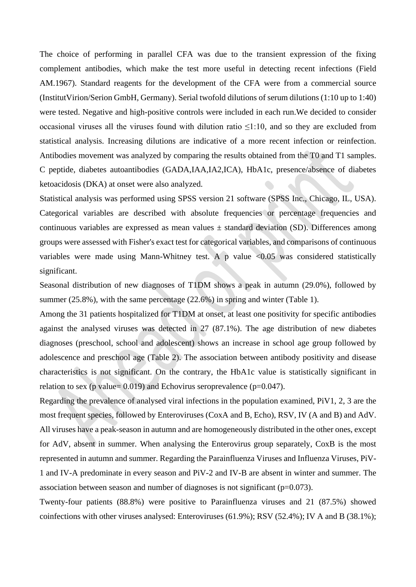The choice of performing in parallel CFA was due to the transient expression of the fixing complement antibodies, which make the test more useful in detecting recent infections (Field AM.1967). Standard reagents for the development of the CFA were from a commercial source (InstitutVirion/Serion GmbH, Germany). Serial twofold dilutions of serum dilutions (1:10 up to 1:40) were tested. Negative and high-positive controls were included in each run.We decided to consider occasional viruses all the viruses found with dilution ratio  $\leq$ 1:10, and so they are excluded from statistical analysis. Increasing dilutions are indicative of a more recent infection or reinfection. Antibodies movement was analyzed by comparing the results obtained from the T0 and T1 samples. C peptide, diabetes autoantibodies (GADA,IAA,IA2,ICA), HbA1c, presence/absence of diabetes ketoacidosis (DKA) at onset were also analyzed.

Statistical analysis was performed using SPSS version 21 software (SPSS Inc., Chicago, IL, USA). Categorical variables are described with absolute frequencies or percentage frequencies and continuous variables are expressed as mean values  $\pm$  standard deviation (SD). Differences among groups were assessed with Fisher's exact test for categorical variables, and comparisons of continuous variables were made using Mann-Whitney test. A p value <0.05 was considered statistically significant.

Seasonal distribution of new diagnoses of T1DM shows a peak in autumn (29.0%), followed by summer (25.8%), with the same percentage (22.6%) in spring and winter (Table 1).

Among the 31 patients hospitalized for T1DM at onset, at least one positivity for specific antibodies against the analysed viruses was detected in 27 (87.1%). The age distribution of new diabetes diagnoses (preschool, school and adolescent) shows an increase in school age group followed by adolescence and preschool age (Table 2). The association between antibody positivity and disease characteristics is not significant. On the contrary, the HbA1c value is statistically significant in relation to sex (p value=  $0.019$ ) and Echovirus seroprevalence (p= $0.047$ ).

Regarding the prevalence of analysed viral infections in the population examined, PiV1, 2, 3 are the most frequent species, followed by Enteroviruses (CoxA and B, Echo), RSV, IV (A and B) and AdV. All viruses have a peak-season in autumn and are homogeneously distributed in the other ones, except for AdV, absent in summer. When analysing the Enterovirus group separately, CoxB is the most represented in autumn and summer. Regarding the Parainfluenza Viruses and Influenza Viruses, PiV-1 and IV-A predominate in every season and PiV-2 and IV-B are absent in winter and summer. The association between season and number of diagnoses is not significant (p=0.073).

Twenty-four patients (88.8%) were positive to Parainfluenza viruses and 21 (87.5%) showed coinfections with other viruses analysed: Enteroviruses (61.9%); RSV (52.4%); IV A and B (38.1%);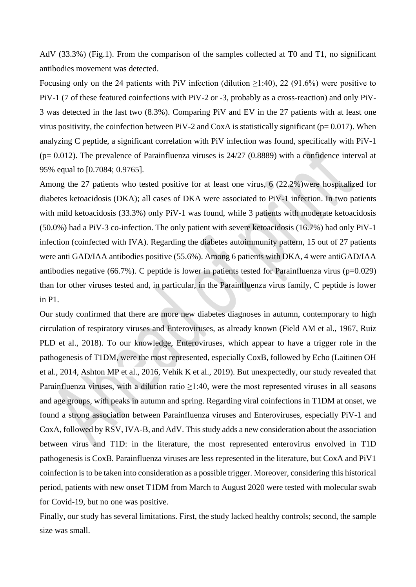AdV (33.3%) (Fig.1). From the comparison of the samples collected at T0 and T1, no significant antibodies movement was detected.

Focusing only on the 24 patients with PiV infection (dilution  $\geq$ 1:40), 22 (91.6%) were positive to PiV-1 (7 of these featured coinfections with PiV-2 or -3, probably as a cross-reaction) and only PiV-3 was detected in the last two (8.3%). Comparing PiV and EV in the 27 patients with at least one virus positivity, the coinfection between PiV-2 and CoxA is statistically significant ( $p= 0.017$ ). When analyzing C peptide, a significant correlation with PiV infection was found, specifically with PiV-1  $(p= 0.012)$ . The prevalence of Parainfluenza viruses is 24/27 (0.8889) with a confidence interval at 95% equal to [0.7084; 0.9765].

Among the 27 patients who tested positive for at least one virus, 6 (22.2%)were hospitalized for diabetes ketoacidosis (DKA); all cases of DKA were associated to PiV-1 infection. In two patients with mild ketoacidosis (33.3%) only PiV-1 was found, while 3 patients with moderate ketoacidosis (50.0%) had a PiV-3 co-infection. The only patient with severe ketoacidosis (16.7%) had only PiV-1 infection (coinfected with IVA). Regarding the diabetes autoimmunity pattern, 15 out of 27 patients were anti GAD/IAA antibodies positive (55.6%). Among 6 patients with DKA, 4 were antiGAD/IAA antibodies negative (66.7%). C peptide is lower in patients tested for Parainfluenza virus ( $p=0.029$ ) than for other viruses tested and, in particular, in the Parainfluenza virus family, C peptide is lower in P1.

Our study confirmed that there are more new diabetes diagnoses in autumn, contemporary to high circulation of respiratory viruses and Enteroviruses, as already known (Field AM et al., 1967, Ruiz PLD et al., 2018). To our knowledge, Enteroviruses, which appear to have a trigger role in the pathogenesis of T1DM, were the most represented, especially CoxB, followed by Echo (Laitinen OH et al., 2014, Ashton MP et al., 2016, Vehik K et al., 2019). But unexpectedly, our study revealed that Parainfluenza viruses, with a dilution ratio  $\geq$ 1:40, were the most represented viruses in all seasons and age groups, with peaks in autumn and spring. Regarding viral coinfections in T1DM at onset, we found a strong association between Parainfluenza viruses and Enteroviruses, especially PiV-1 and CoxA, followed by RSV, IVA-B, and AdV. This study adds a new consideration about the association between virus and T1D: in the literature, the most represented enterovirus envolved in T1D pathogenesis is CoxB. Parainfluenza viruses are less represented in the literature, but CoxA and PiV1 coinfection is to be taken into consideration as a possible trigger. Moreover, considering this historical period, patients with new onset T1DM from March to August 2020 were tested with molecular swab for Covid-19, but no one was positive.

Finally, our study has several limitations. First, the study lacked healthy controls; second, the sample size was small.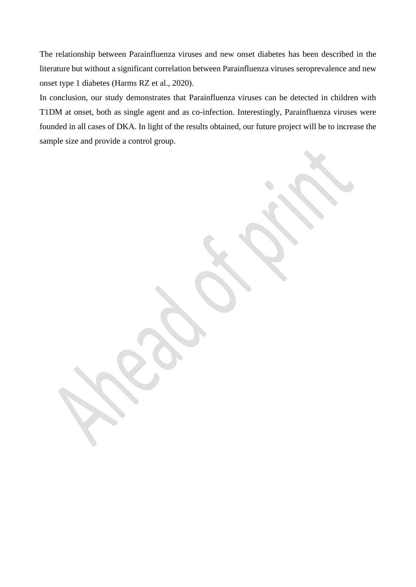The relationship between Parainfluenza viruses and new onset diabetes has been described in the literature but without a significant correlation between Parainfluenza viruses seroprevalence and new onset type 1 diabetes (Harms RZ et al., 2020).

In conclusion, our study demonstrates that Parainfluenza viruses can be detected in children with T1DM at onset, both as single agent and as co-infection. Interestingly, Parainfluenza viruses were founded in all cases of DKA. In light of the results obtained, our future project will be to increase the sample size and provide a control group.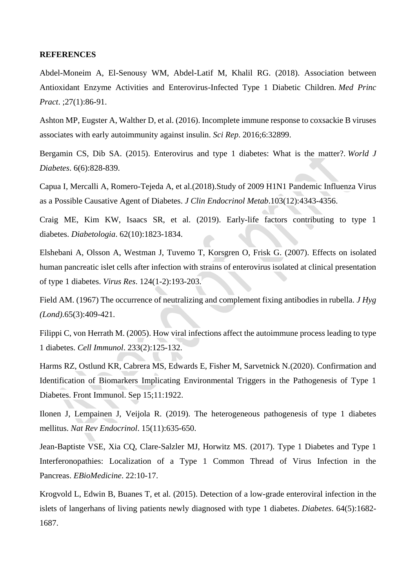#### **REFERENCES**

Abdel-Moneim A, El-Senousy WM, Abdel-Latif M, Khalil RG. (2018). Association between Antioxidant Enzyme Activities and Enterovirus-Infected Type 1 Diabetic Children. *Med Princ Pract*. ;27(1):86-91.

Ashton MP, Eugster A, Walther D, et al. (2016). Incomplete immune response to coxsackie B viruses associates with early autoimmunity against insulin. *Sci Rep*. 2016;6:32899.

Bergamin CS, Dib SA. (2015). Enterovirus and type 1 diabetes: What is the matter?. *World J Diabetes*. 6(6):828-839.

Capua I, Mercalli A, Romero-Tejeda A, et al.(2018).Study of 2009 H1N1 Pandemic Influenza Virus as a Possible Causative Agent of Diabetes. *J Clin Endocrinol Metab*.103(12):4343-4356.

Craig ME, Kim KW, Isaacs SR, et al. (2019). Early-life factors contributing to type 1 diabetes. *Diabetologia*. 62(10):1823-1834.

Elshebani A, Olsson A, Westman J, Tuvemo T, Korsgren O, Frisk G. (2007). Effects on isolated human pancreatic islet cells after infection with strains of enterovirus isolated at clinical presentation of type 1 diabetes. *Virus Res*. 124(1-2):193-203.

Field AM. (1967) The occurrence of neutralizing and complement fixing antibodies in rubella. *J Hyg (Lond)*.65(3):409-421.

Filippi C, von Herrath M. (2005). How viral infections affect the autoimmune process leading to type 1 diabetes. *Cell Immunol*. 233(2):125-132.

Harms RZ, Ostlund KR, Cabrera MS, Edwards E, Fisher M, Sarvetnick N.(2020). Confirmation and Identification of Biomarkers Implicating Environmental Triggers in the Pathogenesis of Type 1 Diabetes. Front Immunol. Sep 15;11:1922.

Ilonen J, Lempainen J, Veijola R. (2019). The heterogeneous pathogenesis of type 1 diabetes mellitus. *Nat Rev Endocrinol*. 15(11):635-650.

Jean-Baptiste VSE, Xia CQ, Clare-Salzler MJ, Horwitz MS. (2017). Type 1 Diabetes and Type 1 Interferonopathies: Localization of a Type 1 Common Thread of Virus Infection in the Pancreas. *EBioMedicine*. 22:10-17.

Krogvold L, Edwin B, Buanes T, et al. (2015). Detection of a low-grade enteroviral infection in the islets of langerhans of living patients newly diagnosed with type 1 diabetes. *Diabetes*. 64(5):1682- 1687.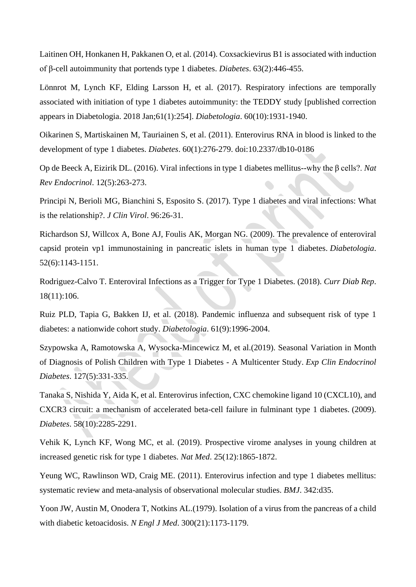Laitinen OH, Honkanen H, Pakkanen O, et al. (2014). Coxsackievirus B1 is associated with induction of β-cell autoimmunity that portends type 1 diabetes. *Diabetes*. 63(2):446-455.

Lönnrot M, Lynch KF, Elding Larsson H, et al. (2017). Respiratory infections are temporally associated with initiation of type 1 diabetes autoimmunity: the TEDDY study [published correction appears in Diabetologia. 2018 Jan;61(1):254]. *Diabetologia*. 60(10):1931-1940.

Oikarinen S, Martiskainen M, Tauriainen S, et al. (2011). Enterovirus RNA in blood is linked to the development of type 1 diabetes. *Diabetes*. 60(1):276-279. doi:10.2337/db10-0186

Op de Beeck A, Eizirik DL. (2016). Viral infections in type 1 diabetes mellitus--why the β cells?. *Nat Rev Endocrinol*. 12(5):263-273.

Principi N, Berioli MG, Bianchini S, Esposito S. (2017). Type 1 diabetes and viral infections: What is the relationship?. *J Clin Virol*. 96:26-31.

Richardson SJ, Willcox A, Bone AJ, Foulis AK, Morgan NG. (2009). The prevalence of enteroviral capsid protein vp1 immunostaining in pancreatic islets in human type 1 diabetes. *Diabetologia*. 52(6):1143-1151.

Rodriguez-Calvo T. Enteroviral Infections as a Trigger for Type 1 Diabetes. (2018). *Curr Diab Rep*. 18(11):106.

Ruiz PLD, Tapia G, Bakken IJ, et al. (2018). Pandemic influenza and subsequent risk of type 1 diabetes: a nationwide cohort study. *Diabetologia*. 61(9):1996-2004.

Szypowska A, Ramotowska A, Wysocka-Mincewicz M, et al.(2019). Seasonal Variation in Month of Diagnosis of Polish Children with Type 1 Diabetes - A Multicenter Study. *Exp Clin Endocrinol Diabetes*. 127(5):331-335.

Tanaka S, Nishida Y, Aida K, et al. Enterovirus infection, CXC chemokine ligand 10 (CXCL10), and CXCR3 circuit: a mechanism of accelerated beta-cell failure in fulminant type 1 diabetes. (2009). *Diabetes*. 58(10):2285-2291.

Vehik K, Lynch KF, Wong MC, et al. (2019). Prospective virome analyses in young children at increased genetic risk for type 1 diabetes. *Nat Med*. 25(12):1865-1872.

Yeung WC, Rawlinson WD, Craig ME. (2011). Enterovirus infection and type 1 diabetes mellitus: systematic review and meta-analysis of observational molecular studies. *BMJ*. 342:d35.

Yoon JW, Austin M, Onodera T, Notkins AL.(1979). Isolation of a virus from the pancreas of a child with diabetic ketoacidosis. *N Engl J Med*. 300(21):1173-1179.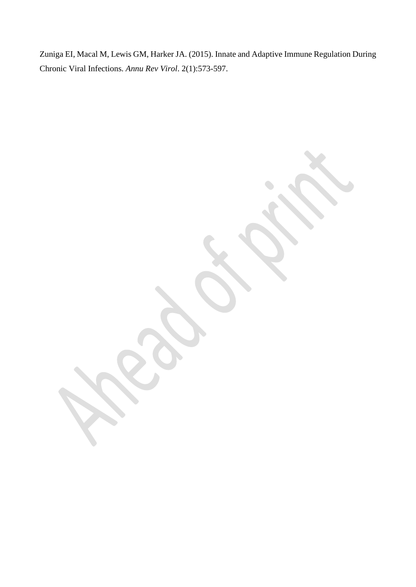Zuniga EI, Macal M, Lewis GM, Harker JA. (2015). Innate and Adaptive Immune Regulation During Chronic Viral Infections. *Annu Rev Virol*. 2(1):573-597.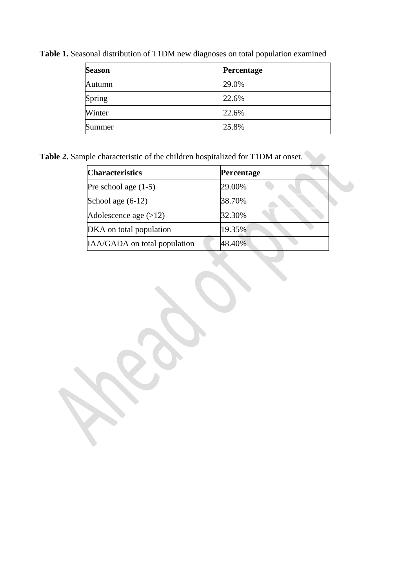| <b>Season</b> | Percentage |
|---------------|------------|
| Autumn        | 29.0%      |
| Spring        | 22.6%      |
| Winter        | 22.6%      |
| Summer        | 25.8%      |

**Table 1.** Seasonal distribution of T1DM new diagnoses on total population examined

Table 2. Sample characteristic of the children hospitalized for T1DM at onset.

| <b>Characteristics</b>       | <b>Percentage</b> |  |
|------------------------------|-------------------|--|
| Pre school age $(1-5)$       | 29.00%            |  |
| School age $(6-12)$          | 38.70%            |  |
| Adolescence age $(>12)$      | 32.30%            |  |
| DKA on total population      | 19.35%            |  |
| IAA/GADA on total population | 48.40%            |  |